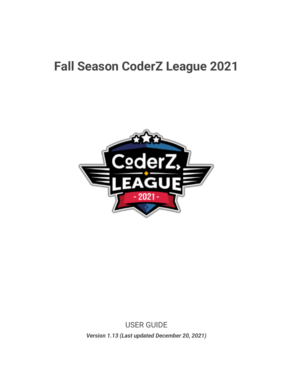## **Fall Season CoderZ League 2021**



USER GUIDE *Version 1.13 (Last updated December 20, 2021)*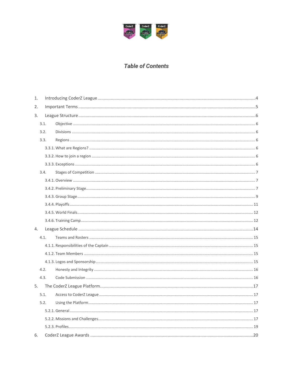

#### **Table of Contents**

| 1. |      |  |  |  |  |  |  |
|----|------|--|--|--|--|--|--|
| 2. |      |  |  |  |  |  |  |
| 3. |      |  |  |  |  |  |  |
|    | 3.1. |  |  |  |  |  |  |
|    | 3.2. |  |  |  |  |  |  |
|    | 3.3. |  |  |  |  |  |  |
|    |      |  |  |  |  |  |  |
|    |      |  |  |  |  |  |  |
|    |      |  |  |  |  |  |  |
|    | 3.4. |  |  |  |  |  |  |
|    |      |  |  |  |  |  |  |
|    |      |  |  |  |  |  |  |
|    |      |  |  |  |  |  |  |
|    |      |  |  |  |  |  |  |
|    |      |  |  |  |  |  |  |
|    |      |  |  |  |  |  |  |
| 4. |      |  |  |  |  |  |  |
|    | 4.1. |  |  |  |  |  |  |
|    |      |  |  |  |  |  |  |
|    |      |  |  |  |  |  |  |
|    |      |  |  |  |  |  |  |
|    | 4.2. |  |  |  |  |  |  |
|    | 4.3. |  |  |  |  |  |  |
| 5. |      |  |  |  |  |  |  |
|    | 5.1. |  |  |  |  |  |  |
|    | 5.2. |  |  |  |  |  |  |
|    |      |  |  |  |  |  |  |
|    |      |  |  |  |  |  |  |
|    |      |  |  |  |  |  |  |
| 6. |      |  |  |  |  |  |  |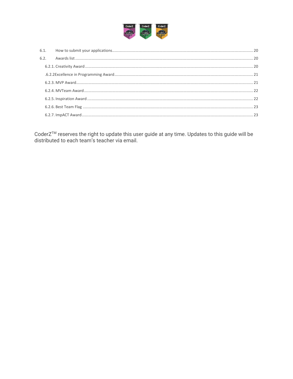

CoderZ<sup>™</sup> reserves the right to update this user guide at any time. Updates to this guide will be distributed to each team's teacher via email.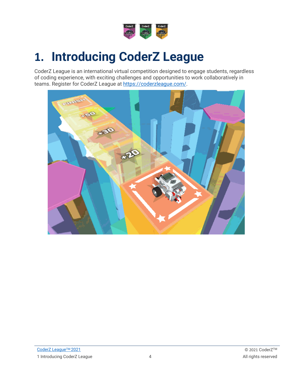

# <span id="page-3-0"></span>**1. Introducing CoderZ League**

CoderZ League is an international virtual competition designed to engage students, regardless of coding experience, with exciting challenges and opportunities to work collaboratively in teams. Register for CoderZ League at [https://coderzleague.com/.](https://coderzleague.com/)

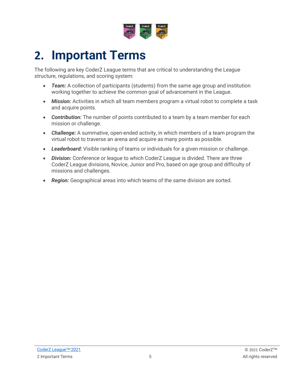

# <span id="page-4-0"></span>**2. Important Terms**

The following are key CoderZ League terms that are critical to understanding the League structure, regulations, and scoring system:

- *Team:* A collection of participants (students) from the same age group and institution working together to achieve the common goal of advancement in the League.
- *Mission:* Activities in which all team members program a virtual robot to complete a task and acquire points.
- *Contribution:* The number of points contributed to a team by a team member for each mission or challenge.
- *Challenge:* A summative, open-ended activity, in which members of a team program the virtual robot to traverse an arena and acquire as many points as possible.
- *Leaderboard:* Visible ranking of teams or individuals for a given mission or challenge.
- *Division:* Conference or league to which CoderZ League is divided. There are three CoderZ League divisions, Novice, Junior and Pro, based on age group and difficulty of missions and challenges.
- *Region:* Geographical areas into which teams of the same division are sorted.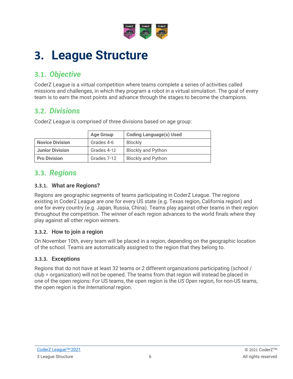

# <span id="page-5-0"></span>**3. League Structure**

## <span id="page-5-1"></span>**3.1.** *Objective*

CoderZ League is a virtual competition where teams complete a series of activities called missions and challenges, in which they program a robot in a virtual simulation. The goal of every team is to earn the most points and advance through the stages to become the champions.

## <span id="page-5-2"></span>**3.2.** *Divisions*

CoderZ League is comprised of three divisions based on age group:

|                        | <b>Age Group</b> | <b>Coding Language(s) Used</b> |
|------------------------|------------------|--------------------------------|
| <b>Novice Division</b> | Grades 4-6       | <b>Blockly</b>                 |
| <b>Junior Division</b> | Grades 4-12      | <b>Blockly and Python</b>      |
| <b>Pro Division</b>    | Grades 7-12      | <b>Blockly and Python</b>      |

## <span id="page-5-3"></span>**3.3.** *Regions*

#### <span id="page-5-4"></span>**3.3.1. What are Regions?**

Regions are geographic segments of teams participating in CoderZ League. The regions existing in CoderZ League are one for every US state (e.g. Texas region, California region) and one for every country (e.g. Japan, Russia, China). Teams play against other teams in their region throughout the competition. The winner of each region advances to the world finals where they play against all other region winners.

#### <span id="page-5-5"></span>**3.3.2. How to join a region**

On November 10th, every team will be placed in a region, depending on the geographic location of the school. Teams are automatically assigned to the region that they belong to.

### <span id="page-5-6"></span>**3.3.3. Exceptions**

Regions that do not have at least 32 teams or 2 different organizations participating (school / club = organization) will not be opened. The teams from that region will instead be placed in one of the open regions: For US teams, the open region is the *US Open* region, for non-US teams, the open region is the *International* region.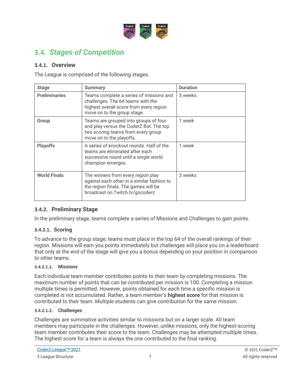

## <span id="page-6-0"></span>**3.4.** *Stages of Competition*

#### <span id="page-6-1"></span>**3.4.1. Overview**

The League is comprised of the following stages.

| <b>Stage</b>         | <b>Summary</b>                                                                                                                                              | <b>Duration</b> |
|----------------------|-------------------------------------------------------------------------------------------------------------------------------------------------------------|-----------------|
| <b>Preliminaries</b> | Teams complete a series of missions and<br>challenges. The 64 teams with the<br>highest overall score from every region<br>move on to the group stage.      | 5 weeks         |
| Group                | Teams are grouped into groups of four<br>and play versus the CoderZ Bot. The top<br>two scoring teams from every group<br>move on to the playoffs.          | 1 week          |
| <b>Playoffs</b>      | A series of knockout rounds. Half of the<br>teams are eliminated after each<br>successive round until a single world<br>champion emerges.                   | 1 week          |
| <b>World Finals</b>  | The winners from every region play<br>against each other in a similar fashion to<br>the region finals. The games will be<br>broadcast on Twitch.tv/gocoderz | 3 weeks         |

#### <span id="page-6-2"></span>**3.4.2. Preliminary Stage**

In the preliminary stage, teams complete a series of Missions and Challenges to gain points.

#### **3.4.2.1. Scoring**

To advance to the group stage, teams must place in the top 64 of the overall rankings of their region. Missions will earn you points immediately but challenges will place you on a leaderboard that only at the end of the stage will give you a bonus depending on your position in comparison to other teams.

#### **3.4.2.1.1. Missions**

Each individual team member contributes points to their team by completing missions. The maximum number of points that can be contributed per mission is 100. Completing a mission multiple times is permitted. However, points obtained for each time a specific mission is completed is not accumulated. Rather, a team member's **highest score** for that mission is contributed to their team. Multiple students can give contribution for the same mission.

#### <span id="page-6-3"></span>**3.4.2.1.2. Challenges**

Challenges are summative activities similar to missions but on a larger scale. All team members may participate in the challenges. However, unlike missions, only the highest-scoring team member contributes their score to the team. Challenges may be attempted multiple times. The highest score for a team is always the one contributed to the final ranking.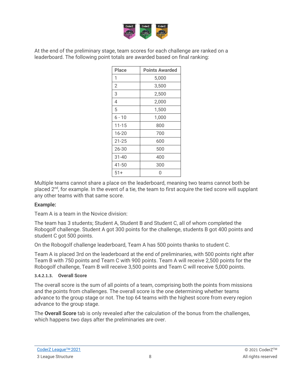

At the end of the preliminary stage, team scores for each challenge are ranked on a leaderboard. The following point totals are awarded based on final ranking:

| <b>Place</b>   | <b>Points Awarded</b> |
|----------------|-----------------------|
| 1              | 5,000                 |
| $\overline{2}$ | 3,500                 |
| 3              | 2,500                 |
| 4              | 2,000                 |
| 5              | 1,500                 |
| $6 - 10$       | 1,000                 |
| $11 - 15$      | 800                   |
| 16-20          | 700                   |
| $21 - 25$      | 600                   |
| 26-30          | 500                   |
| $31 - 40$      | 400                   |
| 41-50          | 300                   |
| 51+            | Λ                     |

Multiple teams cannot share a place on the leaderboard, meaning two teams cannot both be placed 2<sup>nd</sup>, for example. In the event of a tie, the team to first acquire the tied score will supplant any other teams with that same score.

#### **Example:**

Team A is a team in the Novice division:

The team has 3 students; Student A, Student B and Student C, all of whom completed the Robogolf challenge. Student A got 300 points for the challenge, students B got 400 points and student C got 500 points.

On the Robogolf challenge leaderboard, Team A has 500 points thanks to student C.

Team A is placed 3rd on the leaderboard at the end of preliminaries, with 500 points right after Team B with 750 points and Team C with 900 points. Team A will receive 2,500 points for the Robogolf challenge, Team B will receive 3,500 points and Team C will receive 5,000 points.

#### **3.4.2.1.3. Overall Score**

The overall score is the sum of all points of a team, comprising both the points from missions and the points from challenges. The overall score is the one determining whether teams advance to the group stage or not. The top 64 teams with the highest score from every region advance to the group stage.

The **Overall Score** tab is only revealed after the calculation of the bonus from the challenges, which happens two days after the preliminaries are over.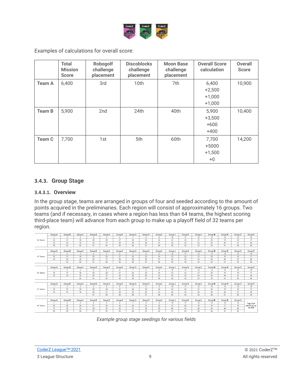

Examples of calculations for overall score:

|               | <b>Total</b><br><b>Mission</b><br><b>Score</b> | <b>Robogolf</b><br>challenge<br>placement | <b>Discoblocks</b><br>challenge<br>placement | <b>Moon Base</b><br>challenge<br>placement | <b>Overall Score</b><br>calculation       | <b>Overall</b><br><b>Score</b> |
|---------------|------------------------------------------------|-------------------------------------------|----------------------------------------------|--------------------------------------------|-------------------------------------------|--------------------------------|
| <b>Team A</b> | 6,400                                          | 3rd                                       | 10th                                         | 7th                                        | 6,400<br>$+2,500$<br>$+1,000$<br>$+1,000$ | 10,900                         |
| <b>Team B</b> | 5,900                                          | 2nd                                       | 24th                                         | 40th                                       | 5,900<br>$+3,500$<br>$+600$<br>$+400$     | 10,400                         |
| <b>Team C</b> | 7,700                                          | 1st                                       | 5th                                          | 60th                                       | 7,700<br>$+5000$<br>$+1,500$<br>$+0$      | 14,200                         |

#### <span id="page-8-0"></span>**3.4.3. Group Stage**

#### **3.4.3.1. Overview**

In the group stage, teams are arranged in groups of four and seeded according to the amount of points acquired in the preliminaries. Each region will consist of approximately 16 groups. Two teams (and if necessary, in cases where a region has less than 64 teams, the highest scoring third-place team) will advance from each group to make up a playoff field of 32 teams per region.

|          | <b>Group A</b>       | <b>Group B</b> | <b>Group C</b> | <b>Group D</b>   | <b>Group E</b> | <b>Group F</b> | <b>Group G</b> | <b>Group H</b> | <b>Group</b>   | Group J          | <b>Group K</b> | <b>Group L</b> | <b>Group M</b> | <b>Group N</b> | <b>Group O</b>   | <b>Group P</b> |
|----------|----------------------|----------------|----------------|------------------|----------------|----------------|----------------|----------------|----------------|------------------|----------------|----------------|----------------|----------------|------------------|----------------|
|          | $\mathbf{1}$         | $\overline{2}$ | 3              | $\boldsymbol{A}$ | 5              | 6              |                | 8              | 9              | 10 <sub>10</sub> | 11             | 12             | 13             | 14             | 15               | 16             |
| 64 Teams | 32                   | 31             | 30             | 29               | 28             | 27             | 26             | 25             | 24             | 23               | 22             | 21             | 20             | 19             | 18               | 17             |
|          | 33                   | 34             | 35             | 36               | 37             | 38             | 39             | 40             | 41             | 42               | 43             | 44             | 45             | 46             | 47               | 48             |
|          | 64                   | 63             | 62             | 61               | 60             | 59             | 58             | 57             | 56             | 55               | 54             | 53             | 52             | 51             | 50               | 49             |
|          |                      |                |                |                  |                |                |                |                |                |                  |                |                |                |                |                  |                |
|          | <b>Group A</b>       | <b>Group B</b> | <b>Group C</b> | <b>Group D</b>   | <b>Group E</b> | <b>Group F</b> | <b>Group G</b> | <b>Group H</b> | <b>Group</b>   | <b>Group J</b>   | <b>Group K</b> | <b>Group L</b> | <b>Group M</b> | <b>Group N</b> | <b>Group O</b>   | <b>Group P</b> |
|          |                      | $\overline{2}$ | 3              |                  | -5             | 6              |                | 8              | 9              | 10 <sub>1</sub>  | 11             | 12             | 13             | 14             | 15 <sub>15</sub> | 16             |
| 63 Teams | 32                   | 31             | 30             | 29               | 28             | 27             | 26             | 25             | 24             | 23               | 22             | 21             | 20             | 19             | 18               | 17             |
|          | 33                   | 34             | 35             | 36               | 37             | 38             | 39             | 40             | 41             | 42               | 43             | 44             | 45             | 46             | 47               | 48             |
|          |                      | 63             | 62             | 61               | 60             | 59             | 58             | 57             | 56             | 55               | 54             | 53             | 52             | 51             | 50               | 49             |
|          |                      |                |                |                  |                |                |                |                |                |                  |                |                |                |                |                  |                |
|          | <b>Group A</b>       | <b>Group B</b> | <b>Group C</b> | <b>Group D</b>   | <b>Group E</b> | <b>Group F</b> | <b>Group G</b> | <b>Group H</b> | <b>Group I</b> | <b>Group J</b>   | <b>Group K</b> | <b>Group L</b> | <b>Group M</b> | <b>Group N</b> | <b>Group O</b>   | <b>Group P</b> |
|          | $\blacksquare$       | $\overline{2}$ | 3              | $\mathbf{A}$     | 5              | 6              | 7              | -8             | 9              | 10 <sub>10</sub> | 11             | 12             | 13             | 14             | 15               | 16             |
| 62 Teams | 32                   | 31             | 30             | 29               | 28             | 27             | 26             | 25             | 24             | 23               | 22             | 21             | 20             | 19             | 18               | 17             |
|          | 33                   | 34             | 35             | 36               | 37             | 38             | 39             | 40             | 41             | 42               | 43             | 44             | 45             | 46             | 47               | 48             |
|          |                      |                | 62             | 61               | 60             | 59             | 58             | 57             | 56             | 55               | 54             | 53             | 52             | 51             | 50               | 49             |
|          |                      |                |                |                  |                |                |                |                |                |                  |                |                |                |                |                  |                |
|          | <b>Group A</b>       | <b>Group B</b> | <b>Group C</b> | <b>Group D</b>   | <b>Group E</b> | <b>Group F</b> | <b>Group G</b> | <b>Group H</b> | Group          | <b>Group J</b>   | <b>Group K</b> | <b>Group L</b> | <b>Group M</b> | <b>Group N</b> | <b>Group O</b>   | <b>Group P</b> |
|          | $\blacktriangleleft$ | $\overline{2}$ | 3              |                  | 5.             | 6              |                | 8              | -9             | 10 <sub>1</sub>  | 11             | 12             | 13             | 14             | 15               | 16             |
| 61 Teams | 32                   | 31             | 30             | 29               | 28             | 27             | 26             | 25             | 24             | 23               | 22             | 21             | 20             | 19             | 18               | 17             |
|          | 33                   | 34             | 35             | 36               | 37             | 38             | 39             | 40             | 41             | 42               | 43             | 44             | 45             | 46             | 47               | 48             |
|          |                      |                |                | 61               | 60             | 59             | 58             | 57             | 56             | 55               | 54             | 53             | 52             | 51             | 50               | 49             |
|          |                      |                |                |                  |                |                |                |                |                |                  |                |                |                |                |                  |                |
|          | <b>Group A</b>       | <b>Group B</b> | <b>Group C</b> | <b>Group D</b>   | <b>Group E</b> | <b>Group F</b> | <b>Group G</b> | <b>Group H</b> | <b>Group</b> I | <b>Group J</b>   | <b>Group K</b> | <b>Group L</b> | <b>Group M</b> | <b>Group N</b> | <b>Group O</b>   |                |
|          | $\overline{1}$       | $\overline{ }$ | 3.             | $\Delta$         | 5              | 6              | ×              | 8              | -9             | 10 <sub>1</sub>  | 11             | 12             | 13             | 14             | 15               | Top 2 3rd      |
| 60 Teams | 30                   | 29             | 28             | 27               | 26             | 25             | 24             | 23             | 22             | 21               | 20             | 19             | 18             | 17             | 16               | places go up   |
|          | 31                   | 32             | 33             | 34               | 35             | 36             | 37             | 38             | 39             | 40               | 41             | 42             | 43             | 44             | 45               | as well        |
|          | 60                   | 59             | 58             | 57               | 56             | 55             | 54             | 53             | 52             | 51               | 50             | 49             | 48             | 47             | 46               |                |

*Example group stage seedings for various fields*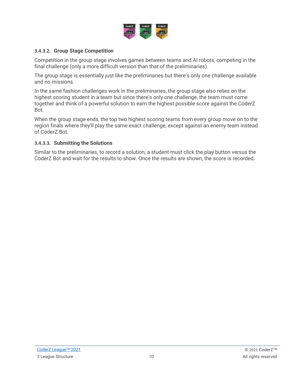

#### **3.4.3.2. Group Stage Competition**

Competition in the group stage involves games between teams and AI robots, competing in the final challenge (only a more difficult version than that of the preliminaries).

The group stage is essentially just like the preliminaries but there's only one challenge available and no missions.

In the same fashion challenges work in the preliminaries, the group stage also relies on the highest scoring student in a team but since there's only one challenge, the team must come together and think of a powerful solution to earn the highest possible score against the CoderZ Bot.

When the group stage ends, the top two highest scoring teams from every group move on to the region finals where they'll play the same exact challenge, except against an enemy team instead of CoderZ Bot.

#### **3.4.3.3. Submitting the Solutions**

Similar to the preliminaries, to record a solution, a student must click the play button versus the CoderZ Bot and wait for the results to show. Once the results are shown, the score is recorded.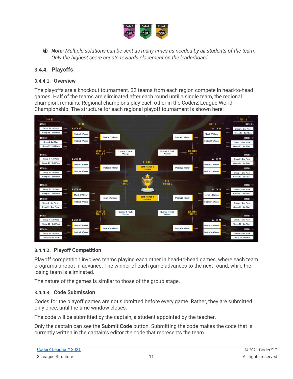

*Note: Multiple solutions can be sent as many times as needed by all students of the team. Only the highest score counts towards placement on the leaderboard.* 

#### <span id="page-10-0"></span>**3.4.4. Playoffs**

#### **3.4.4.1. Overview**

The playoffs are a knockout tournament. 32 teams from each region compete in head-to-head games. Half of the teams are eliminated after each round until a single team, the regional champion, remains. Regional champions play each other in the CoderZ League World Championship. The structure for each regional playoff tournament is shown here:



#### **3.4.4.2. Playoff Competition**

Playoff competition involves teams playing each other in head-to-head games, where each team programs a robot in advance. The winner of each game advances to the next round, while the losing team is eliminated.

The nature of the games is similar to those of the group stage.

#### **3.4.4.3. Code Submission**

Codes for the playoff games are not submitted before every game. Rather, they are submitted only once, until the time window closes.

The code will be submitted by the captain, a student appointed by the teacher.

Only the captain can see the **Submit Code** button. Submitting the code makes the code that is currently written in the captain's editor *the* code that represents the team.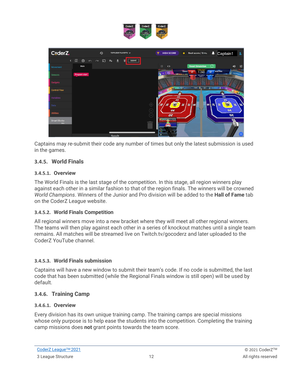

Captains may re-submit their code any number of times but only the latest submission is used in the games.

#### <span id="page-11-0"></span>**3.4.5. World Finals**

#### **3.4.5.1. Overview**

The World Finals is the last stage of the competition. In this stage, all region winners play against each other in a similar fashion to that of the region finals. The winners will be crowned *World Champions*. Winners of the Junior and Pro division will be added to the **Hall of Fame** tab on the CoderZ League website.

#### **3.4.5.2. World Finals Competition**

All regional winners move into a new bracket where they will meet all other regional winners. The teams will then play against each other in a series of knockout matches until a single team remains. All matches will be streamed live on Twitch.tv/gocoderz and later uploaded to the CoderZ YouTube channel.

#### **3.4.5.3. World Finals submission**

Captains will have a new window to submit their team's code. If no code is submitted, the last code that has been submitted (while the Regional Finals window is still open) will be used by default.

#### <span id="page-11-1"></span>**3.4.6. Training Camp**

#### **3.4.6.1. Overview**

Every division has its own unique training camp. The training camps are special missions whose only purpose is to help ease the students into the competition. Completing the training camp missions does **not** grant points towards the team score.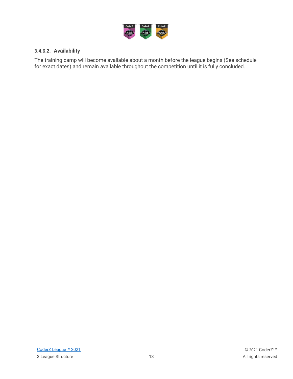

#### **3.4.6.2. Availability**

The training camp will become available about a month before the league begins (See schedule for exact dates) and remain available throughout the competition until it is fully concluded.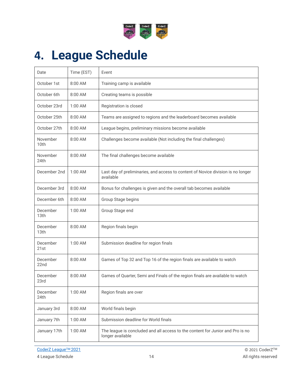

# <span id="page-13-0"></span>**4. League Schedule**

| Date                         | Time (EST) | Event                                                                                              |
|------------------------------|------------|----------------------------------------------------------------------------------------------------|
| October 1st                  | 8:00 AM    | Training camp is available                                                                         |
| October 6th                  | $8:00$ AM  | Creating teams is possible                                                                         |
| October 23rd                 | $1:00$ AM  | Registration is closed                                                                             |
| October 25th                 | $8:00$ AM  | Teams are assigned to regions and the leaderboard becomes available                                |
| October 27th                 | $8:00$ AM  | League begins, preliminary missions become available                                               |
| November<br>10 <sub>th</sub> | 8:00 AM    | Challenges become available (Not including the final challenges)                                   |
| November<br>24th             | $8:00$ AM  | The final challenges become available                                                              |
| December 2nd                 | 1:00 AM    | Last day of preliminaries, and access to content of Novice division is no longer<br>available      |
| December 3rd                 | 8:00 AM    | Bonus for challenges is given and the overall tab becomes available                                |
| December 6th                 | 8:00 AM    | Group Stage begins                                                                                 |
| December<br>13th             | 1:00 AM    | Group Stage end                                                                                    |
| December<br>13th             | 8:00 AM    | Region finals begin                                                                                |
| December<br>21st             | 1:00 AM    | Submission deadline for region finals                                                              |
| December<br>22nd             | 8:00 AM    | Games of Top 32 and Top 16 of the region finals are available to watch                             |
| December<br>23rd             | 8:00 AM    | Games of Quarter, Semi and Finals of the region finals are available to watch                      |
| December<br>24th             | 1:00 AM    | Region finals are over                                                                             |
| January 3rd                  | 8:00 AM    | World finals begin                                                                                 |
| January 7th                  | 1:00 AM    | Submission deadline for World finals                                                               |
| January 17th                 | $1:00$ AM  | The league is concluded and all access to the content for Junior and Pro is no<br>longer available |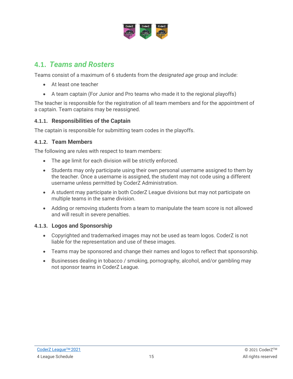

## <span id="page-14-0"></span>**4.1.** *Teams and Rosters*

Teams consist of a maximum of 6 students from the *designated age group* and include:

- At least one teacher
- A team captain (For Junior and Pro teams who made it to the regional playoffs)

The teacher is responsible for the registration of all team members and for the appointment of a captain. Team captains may be reassigned.

#### <span id="page-14-1"></span>**4.1.1. Responsibilities of the Captain**

The captain is responsible for submitting team codes in the playoffs.

#### <span id="page-14-2"></span>**4.1.2. Team Members**

The following are rules with respect to team members:

- The age limit for each division will be strictly enforced.
- Students may only participate using their own personal username assigned to them by the teacher. Once a username is assigned, the student may not code using a different username unless permitted by CoderZ Administration.
- A student may participate in both CoderZ League divisions but may not participate on multiple teams in the same division.
- Adding or removing students from a team to manipulate the team score is not allowed and will result in severe penalties.

#### <span id="page-14-3"></span>**4.1.3. Logos and Sponsorship**

- Copyrighted and trademarked images may not be used as team logos. CoderZ is not liable for the representation and use of these images.
- Teams may be sponsored and change their names and logos to reflect that sponsorship.
- Businesses dealing in tobacco / smoking, pornography, alcohol, and/or gambling may not sponsor teams in CoderZ League.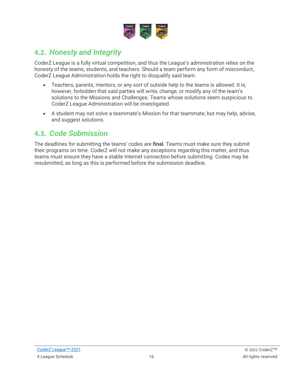

## <span id="page-15-0"></span>**4.2.** *Honesty and Integrity*

CoderZ League is a fully virtual competition, and thus the League's administration relies on the honesty of the teams, students, and teachers. Should a team perform any form of misconduct, CoderZ League Administration holds the right to disqualify said team.

- Teachers, parents, mentors, or any sort of outside help to the teams is allowed. It is, however, forbidden that said parties will write, change, or modify any of the team's solutions to the Missions and Challenges. Teams whose solutions seem suspicious to CoderZ League Administration will be investigated.
- A student may not solve a teammate's Mission for that teammate, but may help, advise, and suggest solutions.

## <span id="page-15-1"></span>**4.3.** *Code Submission*

The deadlines for submitting the teams' codes are **final**. Teams must make sure they submit their programs on time. CoderZ will not make any exceptions regarding this matter, and thus teams must ensure they have a stable Internet connection before submitting. Codes may be resubmitted, as long as this is performed before the submission deadline.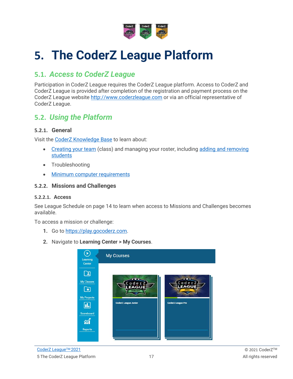

# <span id="page-16-0"></span>**5. The CoderZ League Platform**

## <span id="page-16-1"></span>**5.1.** *Access to CoderZ League*

Participation in CoderZ League requires the CoderZ League platform. Access to CoderZ and CoderZ League is provided after completion of the registration and payment process on the CoderZ League website [http://www.coderzleague.com](http://www.coderzleague.com/) or via an official representative of CoderZ League.

## <span id="page-16-2"></span>**5.2.** *Using the Platform*

#### <span id="page-16-3"></span>**5.2.1. General**

Visit the [CoderZ Knowledge](https://coderz.zendesk.com/) Base to learn about:

- [Creating your team](https://coderz.zendesk.com/hc/en-us/articles/115003100665-How-Do-I-Add-A-Class-) (class) and managing your roster, including adding and removing [students](https://coderz.zendesk.com/hc/en-us/articles/115004027945-How-Do-I-Add-Students-to-a-Class-)
- Troubleshooting
- [Minimum computer requirements](https://coderz.zendesk.com/hc/en-us/articles/213010989-What-are-the-Minimum-Requirements-for-Running-CoderZ-)

#### <span id="page-16-4"></span>**5.2.2. Missions and Challenges**

#### **5.2.2.1. Access**

See [League Schedule](#page-13-0) on page [14](#page-13-0) to learn when access to Missions and Challenges becomes available.

To access a mission or challenge:

- **1.** Go to [https://play.gocoderz.com.](https://play.gocoderz.com/)
- **2.** Navigate to **Learning Center > My Courses**.

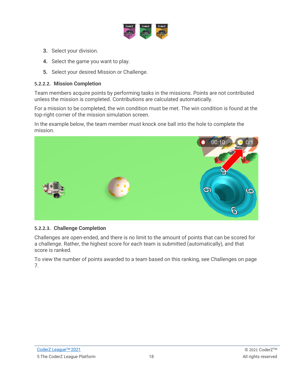

- **3.** Select your division.
- **4.** Select the game you want to play.
- **5.** Select your desired Mission or Challenge.

#### **5.2.2.2. Mission Completion**

Team members acquire points by performing tasks in the missions. Points are not contributed unless the mission is completed. Contributions are calculated automatically.

For a mission to be completed, the win condition must be met. The win condition is found at the top-right corner of the mission simulation screen.

In the example below, the team member must knock one ball into the hole to complete the mission.



#### **5.2.2.3. Challenge Completion**

Challenges are open-ended, and there is no limit to the amount of points that can be scored for a challenge. Rather, the highest score for each team is submitted (automatically), and that score is ranked.

To view the number of points awarded to a team based on this ranking, see [Challenges](#page-6-3) on page [7.](#page-6-3)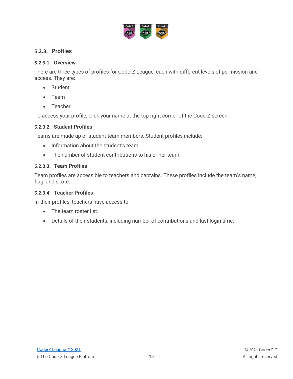

#### <span id="page-18-0"></span>**5.2.3. Profiles**

#### **5.2.3.1. Overview**

There are three types of profiles for CoderZ League, each with different levels of permission and access. They are:

- Student
- Team
- Teacher

To access your profile, click your name at the top-right corner of the CoderZ screen.

#### **5.2.3.2. Student Profiles**

Teams are made up of student team members. Student profiles include:

- Information about the student's team.
- The number of student contributions to his or her team.

#### **5.2.3.3. Team Profiles**

Team profiles are accessible to teachers and captains. These profiles include the team's name, flag, and score.

#### **5.2.3.4. Teacher Profiles**

In their profiles, teachers have access to:

- The team roster list.
- Details of their students, including number of contributions and last login time.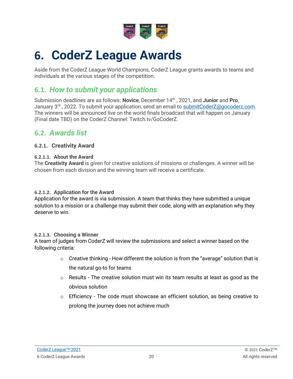

# <span id="page-19-0"></span>**6. CoderZ League Awards**

Aside from the CoderZ League World Champions, CoderZ League grants awards to teams and individuals at the various stages of the competition.

## <span id="page-19-1"></span>**6.1.** *How to submit your applications*

Submission deadlines are as follows: **Novice**, December 14th , 2021, and **Junior** and **Pro**, January  $3<sup>rd</sup>$ , 2022. To submit your application, send an email to [submitCoderZ@gocoderz.com.](mailto:submitCoderZ@gocoderz.com) The winners will be announced live on the world finals broadcast that will happen on January (Final date TBD) on the CoderZ Channel: Twitch.tv/GoCoderZ.

## <span id="page-19-2"></span>**6.2.** *Awards list*

#### <span id="page-19-3"></span>**6.2.1. Creativity Award**

#### **6.2.1.1. About the Award**

The **Creativity Award** is given for creative solutions of missions or challenges. A winner will be chosen from each division and the winning team will receive a certificate.

#### **6.2.1.2. Application for the Award**

Application for the award is via submission. A team that thinks they have submitted a unique solution to a mission or a challenge may submit their code, along with an explanation why they deserve to win.

#### **6.2.1.3. Choosing a Winner**

A team of judges from CoderZ will review the submissions and select a winner based on the following criteria:

- $\circ$  Creative thinking How different the solution is from the "average" solution that is the natural go-to for teams
- $\circ$  Results The creative solution must win its team results at least as good as the obvious solution
- $\circ$  Efficiency The code must showcase an efficient solution, as being creative to prolong the journey does not achieve much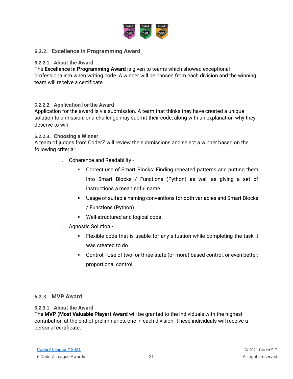

#### <span id="page-20-0"></span>**6.2.2. Excellence in Programming Award**

#### **6.2.2.1. About the Award**

The **Excellence in Programming Award** is given to teams which showed exceptional professionalism when writing code. A winner will be chosen from each division and the winning team will receive a certificate.

#### **6.2.2.2. Application for the Award**

Application for the award is via submission. A team that thinks they have created a unique solution to a mission, or a challenge may submit their code, along with an explanation why they deserve to win.

#### **6.2.2.3. Choosing a Winner**

A team of judges from CoderZ will review the submissions and select a winner based on the following criteria:

- o Coherence and Readability
	- Correct use of Smart Blocks: Finding repeated patterns and putting them into Smart Blocks / Functions (Python) as well as giving a set of instructions a meaningful name
	- Usage of suitable naming conventions for both variables and Smart Blocks / Functions (Python)
	- Well-structured and logical code
- o Agnostic Solution
	- Flexible code that is usable for any situation while completing the task it was created to do
	- Control Use of two- or three-state (or more) based control, or even better: proportional control

#### <span id="page-20-1"></span>**6.2.3. MVP Award**

#### **6.2.3.1. About the Award**

The **MVP (Most Valuable Player) Award** will be granted to the individuals with the highest contribution at the end of preliminaries, one in each division. These individuals will receive a personal certificate.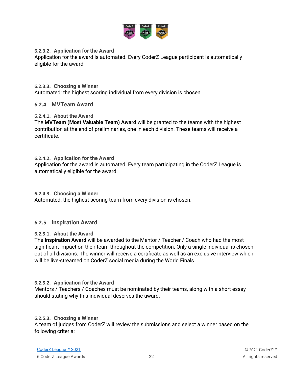

#### **6.2.3.2. Application for the Award**

Application for the award is automated. Every CoderZ League participant is automatically eligible for the award.

#### **6.2.3.3. Choosing a Winner**

Automated: the highest scoring individual from every division is chosen.

#### <span id="page-21-0"></span>**6.2.4. MVTeam Award**

#### **6.2.4.1. About the Award**

The **MVTeam (Most Valuable Team) Award** will be granted to the teams with the highest contribution at the end of preliminaries, one in each division. These teams will receive a certificate.

#### **6.2.4.2. Application for the Award**

Application for the award is automated. Every team participating in the CoderZ League is automatically eligible for the award.

#### **6.2.4.3. Choosing a Winner**

Automated: the highest scoring team from every division is chosen.

#### <span id="page-21-1"></span>**6.2.5. Inspiration Award**

#### **6.2.5.1. About the Award**

The **Inspiration Award** will be awarded to the Mentor / Teacher / Coach who had the most significant impact on their team throughout the competition. Only a single individual is chosen out of all divisions. The winner will receive a certificate as well as an exclusive interview which will be live-streamed on CoderZ social media during the World Finals.

#### **6.2.5.2. Application for the Award**

Mentors / Teachers / Coaches must be nominated by their teams, along with a short essay should stating why this individual deserves the award.

#### **6.2.5.3. Choosing a Winner**

A team of judges from CoderZ will review the submissions and select a winner based on the following criteria: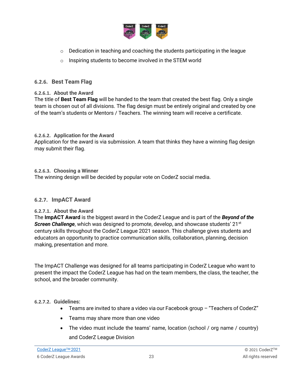

- $\circ$  Dedication in teaching and coaching the students participating in the league
- o Inspiring students to become involved in the STEM world

#### <span id="page-22-0"></span>**6.2.6. Best Team Flag**

#### **6.2.6.1. About the Award**

The title of **Best Team Flag** will be handed to the team that created the best flag. Only a single team is chosen out of all divisions. The flag design must be entirely original and created by one of the team's students or Mentors / Teachers. The winning team will receive a certificate.

#### **6.2.6.2. Application for the Award**

Application for the award is via submission. A team that thinks they have a winning flag design may submit their flag.

#### **6.2.6.3. Choosing a Winner**

The winning design will be decided by popular vote on CoderZ social media.

#### <span id="page-22-1"></span>**6.2.7. ImpACT Award**

#### **6.2.7.1. About the Award**

The **ImpACT Award** is the biggest award in the CoderZ League and is part of the *Beyond of the*  **Screen Challenge**, which was designed to promote, develop, and showcase students' 21<sup>st</sup> century skills throughout the CoderZ League 2021 season. This challenge gives students and educators an opportunity to practice communication skills, collaboration, planning, decision making, presentation and more.

The ImpACT Challenge was designed for all teams participating in CoderZ League who want to present the impact the CoderZ League has had on the team members, the class, the teacher, the school, and the broader community.

#### **6.2.7.2. Guidelines:**

- Teams are invited to share a video via our Facebook group "Teachers of CoderZ"
- Teams may share more than one video
- The video must include the teams' name, location (school / org name / country) and CoderZ League Division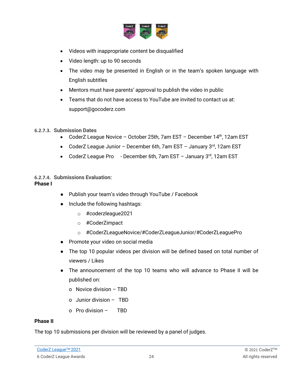

- Videos with inappropriate content be disqualified
- Video length: up to 90 seconds
- The video may be presented in English or in the team's spoken language with English subtitles
- Mentors must have parents' approval to publish the video in public
- Teams that do not have access to YouTube are invited to contact us at: support@gocoderz.com

#### **6.2.7.3. Submission Dates**

- CoderZ League Novice October 25th, 7am EST December 14<sup>th</sup>, 12am EST
- CoderZ League Junior December 6th, 7am EST January 3rd, 12am EST
- CoderZ League Pro December 6th, 7am EST January 3rd, 12am EST

#### **6.2.7.4. Submissions Evaluation: Phase I**

- Publish your team's video through YouTube / Facebook
- Include the following hashtags:
	- o #coderzleague2021
	- o #CoderZimpact
	- o #CoderZLeagueNovice/#CoderZLeagueJunior/#CoderZLeaguePro
- Promote your video on social media
- The top 10 popular videos per division will be defined based on total number of viewers / Likes
- The announcement of the top 10 teams who will advance to Phase II will be published on:
	- o Novice division TBD
	- o Junior division TBD
	- o Pro division TBD

#### **Phase II**

The top 10 submissions per division will be reviewed by a panel of judges.